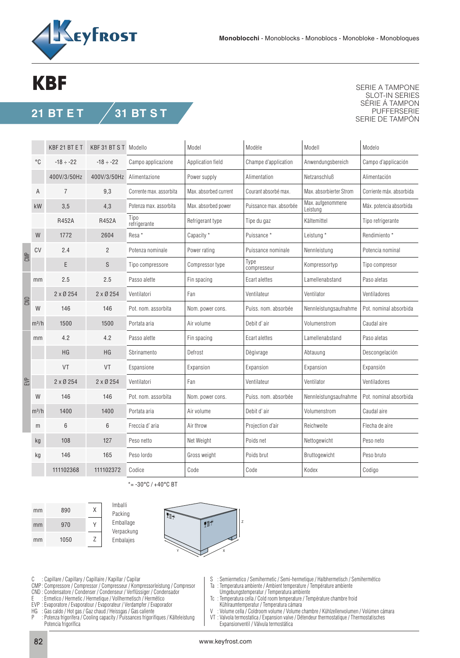

## **KBF**

## **21 BT E T 31 BT S T**

SERIE A TAMPONE SLOT-IN SERIES SÉRIE Á TAMPON PUFFERSERIE SERIE DE TAMPÓN

|     |         | KBF 21 BT E T   | KBF 31 BT S T Modello |                         | Model                 | Modèle                  | Modell                        | Modelo                   |
|-----|---------|-----------------|-----------------------|-------------------------|-----------------------|-------------------------|-------------------------------|--------------------------|
|     | °C      | $-18 \div -22$  | $-18 \div -22$        | Campo applicazione      | Application field     | Champe d'application    | Anwendungsbereich             | Campo d'applicación      |
|     |         | 400V/3/50Hz     | 400V/3/50Hz           | Alimentazione           | Power supply          | Alimentation            | Netzanschluß                  | Alimentación             |
|     | Α       | 7               | 9,3                   | Corrente max. assorbita | Max. absorbed current | Courant absorbé max.    | Max. absorbierter Strom       | Corriente máx. absorbida |
|     | kW      | 3,5             | 4,3                   | Potenza max. assorbita  | Max. absorbed power   | Puissance max. absorbée | Max. aufgenommene<br>Leistung | Máx. potencia absorbida  |
|     |         | R452A           | R452A                 | Tipo<br>refrigerante    | Refrigerant type      | Tipe du gaz             | Kältemittel                   | Tipo refrigerante        |
|     | W       | 1772            | 2604                  | Resa *                  | Capacity *            | Puissance *             | Leistung *                    | Rendimiento *            |
| CMP | CV      | 2.4             | $\overline{2}$        | Potenza nominale        | Power rating          | Puissance nominale      | Nennleistung                  | Potencia nominal         |
|     |         | E               | S                     | Tipo compressore        | Compressor type       | Type<br>compresseur     | Kompressortyp                 | Tipo compresor           |
| SND | mm      | 2.5             | 2.5                   | Passo alette            | Fin spacing           | Ecart alettes           | Lamellenabstand               | Paso aletas              |
|     |         | $2 \times 0254$ | $2 \times 0254$       | Ventilatori             | Fan                   | Ventilateur             | Ventilator                    | Ventiladores             |
|     | W       | 146             | 146                   | Pot. nom. assorbita     | Nom. power cons.      | Puiss, nom. absorbée    | Nennleistungsaufnahme         | Pot. nominal absorbida   |
|     | $m^3/h$ | 1500            | 1500                  | Portata aria            | Air volume            | Debit d'air             | Volumenstrom                  | Caudal aire              |
| EVP | mm      | 4.2             | 4.2                   | Passo alette            | Fin spacing           | Ecart alettes           | Lamellenabstand               | Paso aletas              |
|     |         | HG              | HG                    | Sbrinamento             | Defrost               | Dègivrage               | Abtauung                      | Descongelación           |
|     |         | VT              | VT                    | Espansione              | Expansion             | Expansion               | Expansion                     | Expansión                |
|     |         | $2 \times 0254$ | $2 \times 0254$       | Ventilatori             | Fan                   | Ventilateur             | Ventilator                    | Ventiladores             |
|     | W       | 146             | 146                   | Pot. nom. assorbita     | Nom. power cons.      | Puiss. nom. absorbée    | Nennleistungsaufnahme         | Pot. nominal absorbida   |
|     | $m^3/h$ | 1400            | 1400                  | Portata aria            | Air volume            | Debit d'air             | Volumenstrom                  | Caudal aire              |
|     | m       | 6               | 6                     | Freccia d'aria          | Air throw             | Projection d'air        | Reichweite                    | Flecha de aire           |
|     | kg      | 108             | 127                   | Peso netto              | Net Weight            | Poids net               | Nettogewicht                  | Peso neto                |
|     | kg      | 146             | 165                   | Peso lordo              | Gross weight          | Poids brut              | Bruttogewicht                 | Peso bruto               |
|     |         | 111102368       | 111102372             | Codice                  | Code                  | Code                    | Kodex                         | Codigo                   |

 $* = -30\degree C$  /  $+40\degree C$  BT







C : Capillare / Capillary / Capillaire / Kapillar / Capilar

- CMP : Compressore / Compressor / Compresseur / Kompressorleistung / Compresor
- CND : Condensatore / Condenser / Condenseur / Verflüssiger / Condensador
- E : Ermetico / Hermetic / Hermetique / Vollhermetisch / Hermético EVP : Evaporatore / Evaporatour / Evaporateur / Verdampfer / Evaporador
- 
- HG : Gas caldo / Hot gas / Gaz chaud / Heissgas / Gas caliente
- : Potenza frigorifera / Cooling capacity / Puissances frigorifiques / Kälteleistung Potencia frigorífica
- S : Semiermetico / Semihermetic / Semi-hermetique / Halbhermetisch / Semihermético
- Ta : Temperatura ambiente / Ambient temperature / Température ambiente
- Umgebungstemperatur / Temperatura ambiente
- Tc : Temperatura cella / Cold room temperature / Température chambre froid Kühlraumtemperatur / Temperatura cámara<br>V · Volume cella / Coldroom volume / Volume (
- Volume cella / Coldroom volume / Volume chambre / Kühlzellenvolumen / Volúmen cámara
- VT : Valvola termostatica / Expansion valve / Détendeur thermostatique / Thermostatisches Expansionventil / Válvula termostática